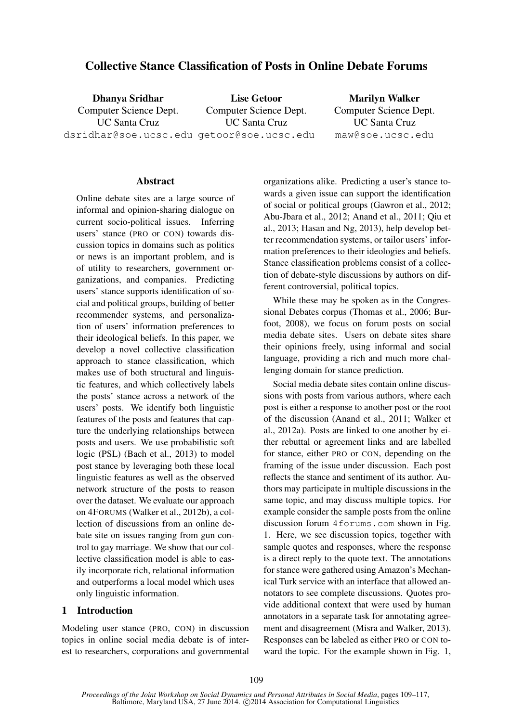# Collective Stance Classification of Posts in Online Debate Forums

Dhanya Sridhar Computer Science Dept. UC Santa Cruz dsridhar@soe.ucsc.edu getoor@soe.ucsc.edu Lise Getoor Computer Science Dept. UC Santa Cruz

Marilyn Walker Computer Science Dept. UC Santa Cruz maw@soe.ucsc.edu

#### **Abstract**

Online debate sites are a large source of informal and opinion-sharing dialogue on current socio-political issues. Inferring users' stance (PRO or CON) towards discussion topics in domains such as politics or news is an important problem, and is of utility to researchers, government organizations, and companies. Predicting users' stance supports identification of social and political groups, building of better recommender systems, and personalization of users' information preferences to their ideological beliefs. In this paper, we develop a novel collective classification approach to stance classification, which makes use of both structural and linguistic features, and which collectively labels the posts' stance across a network of the users' posts. We identify both linguistic features of the posts and features that capture the underlying relationships between posts and users. We use probabilistic soft logic (PSL) (Bach et al., 2013) to model post stance by leveraging both these local linguistic features as well as the observed network structure of the posts to reason over the dataset. We evaluate our approach on 4FORUMS (Walker et al., 2012b), a collection of discussions from an online debate site on issues ranging from gun control to gay marriage. We show that our collective classification model is able to easily incorporate rich, relational information and outperforms a local model which uses only linguistic information.

#### 1 Introduction

Modeling user stance (PRO, CON) in discussion topics in online social media debate is of interest to researchers, corporations and governmental

organizations alike. Predicting a user's stance towards a given issue can support the identification of social or political groups (Gawron et al., 2012; Abu-Jbara et al., 2012; Anand et al., 2011; Qiu et al., 2013; Hasan and Ng, 2013), help develop better recommendation systems, or tailor users' information preferences to their ideologies and beliefs. Stance classification problems consist of a collection of debate-style discussions by authors on different controversial, political topics.

While these may be spoken as in the Congressional Debates corpus (Thomas et al., 2006; Burfoot, 2008), we focus on forum posts on social media debate sites. Users on debate sites share their opinions freely, using informal and social language, providing a rich and much more challenging domain for stance prediction.

Social media debate sites contain online discussions with posts from various authors, where each post is either a response to another post or the root of the discussion (Anand et al., 2011; Walker et al., 2012a). Posts are linked to one another by either rebuttal or agreement links and are labelled for stance, either PRO or CON, depending on the framing of the issue under discussion. Each post reflects the stance and sentiment of its author. Authors may participate in multiple discussions in the same topic, and may discuss multiple topics. For example consider the sample posts from the online discussion forum 4forums.com shown in Fig. 1. Here, we see discussion topics, together with sample quotes and responses, where the response is a direct reply to the quote text. The annotations for stance were gathered using Amazon's Mechanical Turk service with an interface that allowed annotators to see complete discussions. Quotes provide additional context that were used by human annotators in a separate task for annotating agreement and disagreement (Misra and Walker, 2013). Responses can be labeled as either PRO or CON toward the topic. For the example shown in Fig. 1,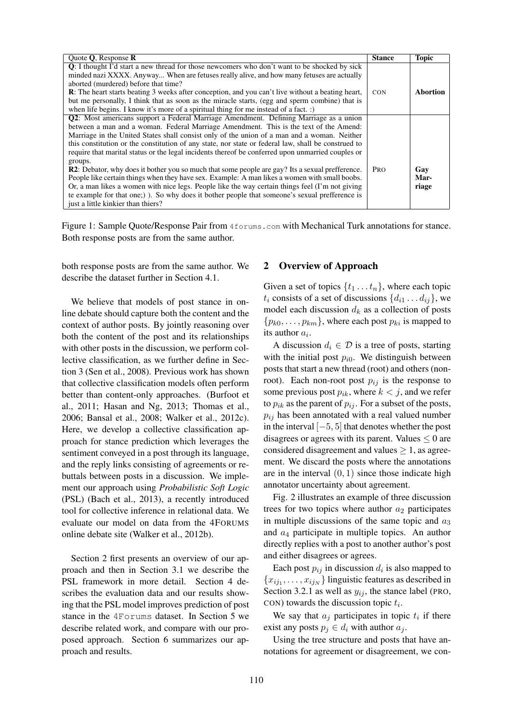| Quote $Q$ , Response $R$                                                                                  | <b>Stance</b> | <b>Topic</b> |
|-----------------------------------------------------------------------------------------------------------|---------------|--------------|
| <b>Q</b> : I thought I'd start a new thread for those new comers who don't want to be shocked by sick     |               |              |
| minded nazi XXXX. Anyway When are fetuses really alive, and how many fetuses are actually                 |               |              |
| aborted (murdered) before that time?                                                                      |               |              |
| <b>R</b> : The heart starts beating 3 weeks after conception, and you can't live without a beating heart, | <b>CON</b>    | Abortion     |
| but me personally, I think that as soon as the miracle starts, (egg and sperm combine) that is            |               |              |
| when life begins. I know it's more of a spiritual thing for me instead of a fact. $:$                     |               |              |
| <b>Q2</b> : Most americans support a Federal Marriage Amendment. Defining Marriage as a union             |               |              |
| between a man and a woman. Federal Marriage Amendment. This is the text of the Amend:                     |               |              |
| Marriage in the United States shall consist only of the union of a man and a woman. Neither               |               |              |
| this constitution or the constitution of any state, nor state or federal law, shall be construed to       |               |              |
| require that marital status or the legal incidents thereof be conferred upon unmarried couples or         |               |              |
| groups.                                                                                                   |               |              |
| R2: Debator, why does it bother you so much that some people are gay? Its a sexual prefference.           | <b>PRO</b>    | Gay          |
| People like certain things when they have sex. Example: A man likes a women with small boobs.             |               | Mar-         |
| Or, a man likes a women with nice legs. People like the way certain things feel (I'm not giving           |               | riage        |
| te example for that one; )). So why does it bother people that someone's sexual prefference is            |               |              |
| just a little kinkier than thiers?                                                                        |               |              |

Figure 1: Sample Quote/Response Pair from 4 forums.com with Mechanical Turk annotations for stance. Both response posts are from the same author.

both response posts are from the same author. We describe the dataset further in Section 4.1.

We believe that models of post stance in online debate should capture both the content and the context of author posts. By jointly reasoning over both the content of the post and its relationships with other posts in the discussion, we perform collective classification, as we further define in Section 3 (Sen et al., 2008). Previous work has shown that collective classification models often perform better than content-only approaches. (Burfoot et al., 2011; Hasan and Ng, 2013; Thomas et al., 2006; Bansal et al., 2008; Walker et al., 2012c). Here, we develop a collective classification approach for stance prediction which leverages the sentiment conveyed in a post through its language, and the reply links consisting of agreements or rebuttals between posts in a discussion. We implement our approach using *Probabilistic Soft Logic* (PSL) (Bach et al., 2013), a recently introduced tool for collective inference in relational data. We evaluate our model on data from the 4FORUMS online debate site (Walker et al., 2012b).

Section 2 first presents an overview of our approach and then in Section 3.1 we describe the PSL framework in more detail. Section 4 describes the evaluation data and our results showing that the PSL model improves prediction of post stance in the 4Forums dataset. In Section 5 we describe related work, and compare with our proposed approach. Section 6 summarizes our approach and results.

#### 2 Overview of Approach

Given a set of topics  $\{t_1 \ldots t_n\}$ , where each topic  $t_i$  consists of a set of discussions  $\{d_{i1} \dots d_{ii}\}\,$ , we model each discussion  $d_k$  as a collection of posts  $\{p_{k0}, \ldots, p_{km}\}\$ , where each post  $p_{ki}$  is mapped to its author  $a_i$ .

A discussion  $d_i \in \mathcal{D}$  is a tree of posts, starting with the initial post  $p_{i0}$ . We distinguish between posts that start a new thread (root) and others (nonroot). Each non-root post  $p_{ij}$  is the response to some previous post  $p_{ik}$ , where  $k < j$ , and we refer to  $p_{ik}$  as the parent of  $p_{ij}$ . For a subset of the posts,  $p_{ij}$  has been annotated with a real valued number in the interval [−5, 5] that denotes whether the post disagrees or agrees with its parent. Values  $\leq 0$  are considered disagreement and values  $\geq 1$ , as agreement. We discard the posts where the annotations are in the interval  $(0, 1)$  since those indicate high annotator uncertainty about agreement.

Fig. 2 illustrates an example of three discussion trees for two topics where author  $a_2$  participates in multiple discussions of the same topic and  $a_3$ and  $a_4$  participate in multiple topics. An author directly replies with a post to another author's post and either disagrees or agrees.

Each post  $p_{ij}$  in discussion  $d_i$  is also mapped to  ${x_{ij_1}, \ldots, x_{ij_N}}$  linguistic features as described in Section 3.2.1 as well as  $y_{ij}$ , the stance label (PRO, CON) towards the discussion topic  $t_i$ .

We say that  $a_j$  participates in topic  $t_i$  if there exist any posts  $p_i \in d_i$  with author  $a_i$ .

Using the tree structure and posts that have annotations for agreement or disagreement, we con-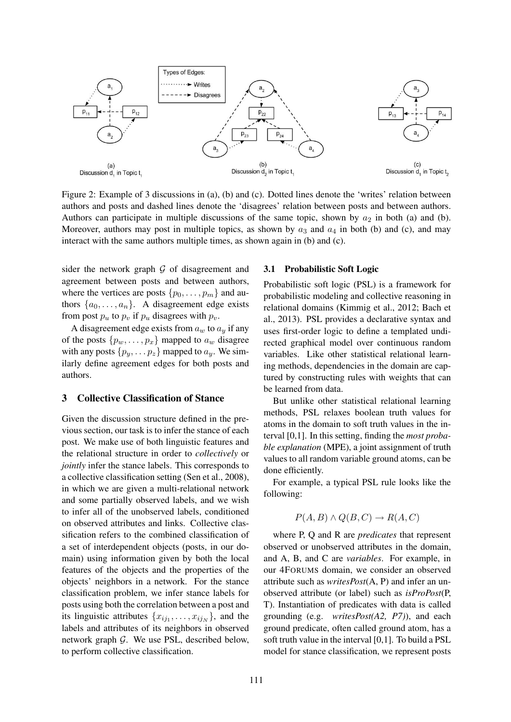

Figure 2: Example of 3 discussions in (a), (b) and (c). Dotted lines denote the 'writes' relation between authors and posts and dashed lines denote the 'disagrees' relation between posts and between authors. Authors can participate in multiple discussions of the same topic, shown by  $a_2$  in both (a) and (b). Moreover, authors may post in multiple topics, as shown by  $a_3$  and  $a_4$  in both (b) and (c), and may interact with the same authors multiple times, as shown again in (b) and (c).

sider the network graph  $G$  of disagreement and agreement between posts and between authors, where the vertices are posts  $\{p_0, \ldots, p_m\}$  and authors  $\{a_0, \ldots, a_n\}$ . A disagreement edge exists from post  $p_u$  to  $p_v$  if  $p_u$  disagrees with  $p_v$ .

A disagreement edge exists from  $a_w$  to  $a_y$  if any of the posts  $\{p_w, \ldots, p_x\}$  mapped to  $a_w$  disagree with any posts  $\{p_y, \ldots, p_z\}$  mapped to  $a_y$ . We similarly define agreement edges for both posts and authors.

## 3 Collective Classification of Stance

Given the discussion structure defined in the previous section, our task is to infer the stance of each post. We make use of both linguistic features and the relational structure in order to *collectively* or *jointly* infer the stance labels. This corresponds to a collective classification setting (Sen et al., 2008), in which we are given a multi-relational network and some partially observed labels, and we wish to infer all of the unobserved labels, conditioned on observed attributes and links. Collective classification refers to the combined classification of a set of interdependent objects (posts, in our domain) using information given by both the local features of the objects and the properties of the objects' neighbors in a network. For the stance classification problem, we infer stance labels for posts using both the correlation between a post and its linguistic attributes  $\{x_{ij_1}, \ldots, x_{ij_N}\}\$ , and the labels and attributes of its neighbors in observed network graph  $G$ . We use PSL, described below, to perform collective classification.

#### 3.1 Probabilistic Soft Logic

Probabilistic soft logic (PSL) is a framework for probabilistic modeling and collective reasoning in relational domains (Kimmig et al., 2012; Bach et al., 2013). PSL provides a declarative syntax and uses first-order logic to define a templated undirected graphical model over continuous random variables. Like other statistical relational learning methods, dependencies in the domain are captured by constructing rules with weights that can be learned from data.

But unlike other statistical relational learning methods, PSL relaxes boolean truth values for atoms in the domain to soft truth values in the interval [0,1]. In this setting, finding the *most probable explanation* (MPE), a joint assignment of truth values to all random variable ground atoms, can be done efficiently.

For example, a typical PSL rule looks like the following:

$$
P(A, B) \land Q(B, C) \rightarrow R(A, C)
$$

where P, Q and R are *predicates* that represent observed or unobserved attributes in the domain, and A, B, and C are *variables*. For example, in our 4FORUMS domain, we consider an observed attribute such as *writesPost*(A, P) and infer an unobserved attribute (or label) such as *isProPost*(P, T). Instantiation of predicates with data is called grounding (e.g. *writesPost(A2, P7)*), and each ground predicate, often called ground atom, has a soft truth value in the interval [0,1]. To build a PSL model for stance classification, we represent posts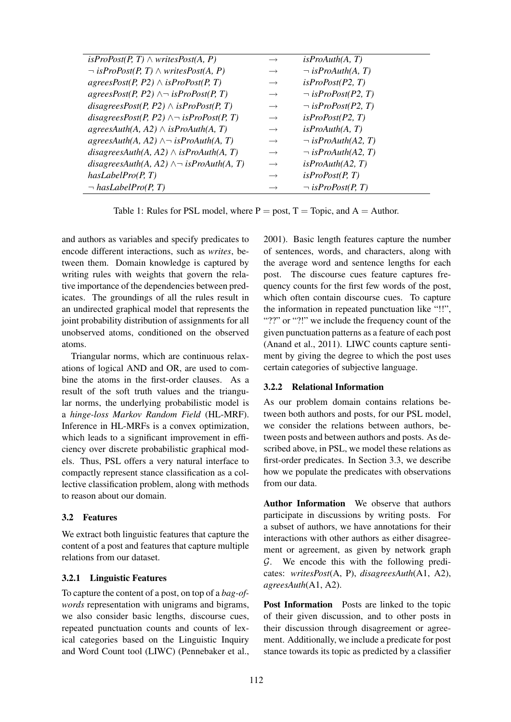| $\rightarrow$     | is <i>ProAuth(A, T)</i>  |
|-------------------|--------------------------|
| $\longrightarrow$ | $\neg$ is ProAuth(A, T)  |
| $\longrightarrow$ | is <i>Proof(P2, T)</i>   |
| $\longrightarrow$ | $\neg$ is ProPost(P2, T) |
| $\rightarrow$     | $\neg$ is ProPost(P2, T) |
| $\rightarrow$     | is ProbPost(P2, T)       |
| $\rightarrow$     | is ProAuth(A, T)         |
| $\longrightarrow$ | $\neg$ isProAuth(A2, T)  |
| $\rightarrow$     | $\neg$ is ProAuth(A2, T) |
| $\rightarrow$     | is ProAuth(A2, T)        |
| $\rightarrow$     | isProof( P, T)           |
| $\longrightarrow$ | $\neg$ is ProPost(P, T)  |
|                   |                          |

Table 1: Rules for PSL model, where  $P =$  post,  $T =$  Topic, and  $A =$  Author.

and authors as variables and specify predicates to encode different interactions, such as *writes*, between them. Domain knowledge is captured by writing rules with weights that govern the relative importance of the dependencies between predicates. The groundings of all the rules result in an undirected graphical model that represents the joint probability distribution of assignments for all unobserved atoms, conditioned on the observed atoms.

Triangular norms, which are continuous relaxations of logical AND and OR, are used to combine the atoms in the first-order clauses. As a result of the soft truth values and the triangular norms, the underlying probabilistic model is a *hinge-loss Markov Random Field* (HL-MRF). Inference in HL-MRFs is a convex optimization, which leads to a significant improvement in efficiency over discrete probabilistic graphical models. Thus, PSL offers a very natural interface to compactly represent stance classification as a collective classification problem, along with methods to reason about our domain.

## 3.2 Features

We extract both linguistic features that capture the content of a post and features that capture multiple relations from our dataset.

## 3.2.1 Linguistic Features

To capture the content of a post, on top of a *bag-ofwords* representation with unigrams and bigrams, we also consider basic lengths, discourse cues, repeated punctuation counts and counts of lexical categories based on the Linguistic Inquiry and Word Count tool (LIWC) (Pennebaker et al.,

2001). Basic length features capture the number of sentences, words, and characters, along with the average word and sentence lengths for each post. The discourse cues feature captures frequency counts for the first few words of the post, which often contain discourse cues. To capture the information in repeated punctuation like "!!", "??" or "?!" we include the frequency count of the given punctuation patterns as a feature of each post (Anand et al., 2011). LIWC counts capture sentiment by giving the degree to which the post uses certain categories of subjective language.

#### 3.2.2 Relational Information

As our problem domain contains relations between both authors and posts, for our PSL model, we consider the relations between authors, between posts and between authors and posts. As described above, in PSL, we model these relations as first-order predicates. In Section 3.3, we describe how we populate the predicates with observations from our data.

Author Information We observe that authors participate in discussions by writing posts. For a subset of authors, we have annotations for their interactions with other authors as either disagreement or agreement, as given by network graph G. We encode this with the following predicates: *writesPost*(A, P), *disagreesAuth*(A1, A2), *agreesAuth*(A1, A2).

Post Information Posts are linked to the topic of their given discussion, and to other posts in their discussion through disagreement or agreement. Additionally, we include a predicate for post stance towards its topic as predicted by a classifier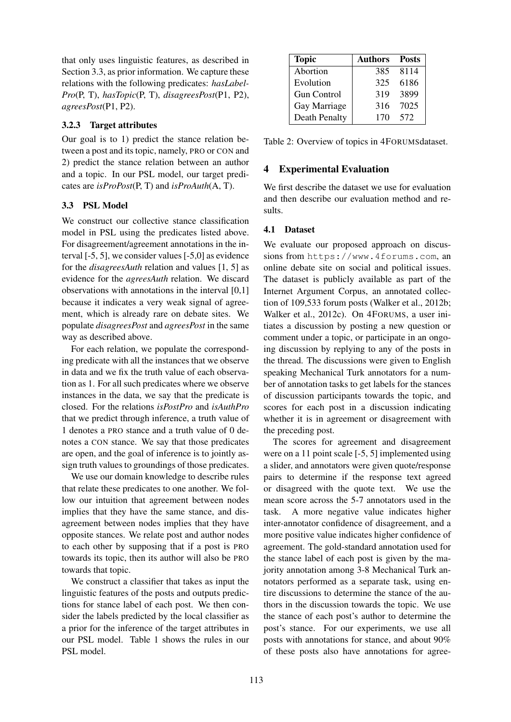that only uses linguistic features, as described in Section 3.3, as prior information. We capture these relations with the following predicates: *hasLabel-Pro*(P, T), *hasTopic*(P, T), *disagreesPost*(P1, P2), *agreesPost*(P1, P2).

## 3.2.3 Target attributes

Our goal is to 1) predict the stance relation between a post and its topic, namely, PRO or CON and 2) predict the stance relation between an author and a topic. In our PSL model, our target predicates are *isProPost*(P, T) and *isProAuth*(A, T).

## 3.3 PSL Model

We construct our collective stance classification model in PSL using the predicates listed above. For disagreement/agreement annotations in the interval [-5, 5], we consider values [-5,0] as evidence for the *disagreesAuth* relation and values [1, 5] as evidence for the *agreesAuth* relation. We discard observations with annotations in the interval [0,1] because it indicates a very weak signal of agreement, which is already rare on debate sites. We populate *disagreesPost* and *agreesPost* in the same way as described above.

For each relation, we populate the corresponding predicate with all the instances that we observe in data and we fix the truth value of each observation as 1. For all such predicates where we observe instances in the data, we say that the predicate is closed. For the relations *isPostPro* and *isAuthPro* that we predict through inference, a truth value of 1 denotes a PRO stance and a truth value of 0 denotes a CON stance. We say that those predicates are open, and the goal of inference is to jointly assign truth values to groundings of those predicates.

We use our domain knowledge to describe rules that relate these predicates to one another. We follow our intuition that agreement between nodes implies that they have the same stance, and disagreement between nodes implies that they have opposite stances. We relate post and author nodes to each other by supposing that if a post is PRO towards its topic, then its author will also be PRO towards that topic.

We construct a classifier that takes as input the linguistic features of the posts and outputs predictions for stance label of each post. We then consider the labels predicted by the local classifier as a prior for the inference of the target attributes in our PSL model. Table 1 shows the rules in our PSL model.

| <b>Topic</b>  | <b>Authors</b> | Posts |
|---------------|----------------|-------|
| Abortion      | 385            | 8114  |
| Evolution     | 325            | 6186  |
| Gun Control   | 319            | 3899  |
| Gay Marriage  | 316            | 7025  |
| Death Penalty | 170            | 572   |

Table 2: Overview of topics in 4FORUMSdataset.

# 4 Experimental Evaluation

We first describe the dataset we use for evaluation and then describe our evaluation method and results.

## 4.1 Dataset

We evaluate our proposed approach on discussions from https://www.4forums.com, an online debate site on social and political issues. The dataset is publicly available as part of the Internet Argument Corpus, an annotated collection of 109,533 forum posts (Walker et al., 2012b; Walker et al., 2012c). On 4FORUMS, a user initiates a discussion by posting a new question or comment under a topic, or participate in an ongoing discussion by replying to any of the posts in the thread. The discussions were given to English speaking Mechanical Turk annotators for a number of annotation tasks to get labels for the stances of discussion participants towards the topic, and scores for each post in a discussion indicating whether it is in agreement or disagreement with the preceding post.

The scores for agreement and disagreement were on a 11 point scale [-5, 5] implemented using a slider, and annotators were given quote/response pairs to determine if the response text agreed or disagreed with the quote text. We use the mean score across the 5-7 annotators used in the task. A more negative value indicates higher inter-annotator confidence of disagreement, and a more positive value indicates higher confidence of agreement. The gold-standard annotation used for the stance label of each post is given by the majority annotation among 3-8 Mechanical Turk annotators performed as a separate task, using entire discussions to determine the stance of the authors in the discussion towards the topic. We use the stance of each post's author to determine the post's stance. For our experiments, we use all posts with annotations for stance, and about 90% of these posts also have annotations for agree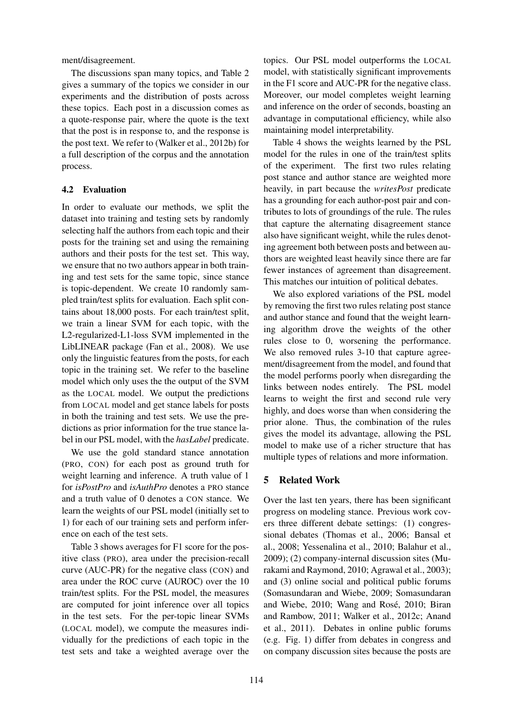ment/disagreement.

The discussions span many topics, and Table 2 gives a summary of the topics we consider in our experiments and the distribution of posts across these topics. Each post in a discussion comes as a quote-response pair, where the quote is the text that the post is in response to, and the response is the post text. We refer to (Walker et al., 2012b) for a full description of the corpus and the annotation process.

## 4.2 Evaluation

In order to evaluate our methods, we split the dataset into training and testing sets by randomly selecting half the authors from each topic and their posts for the training set and using the remaining authors and their posts for the test set. This way, we ensure that no two authors appear in both training and test sets for the same topic, since stance is topic-dependent. We create 10 randomly sampled train/test splits for evaluation. Each split contains about 18,000 posts. For each train/test split, we train a linear SVM for each topic, with the L2-regularized-L1-loss SVM implemented in the LibLINEAR package (Fan et al., 2008). We use only the linguistic features from the posts, for each topic in the training set. We refer to the baseline model which only uses the the output of the SVM as the LOCAL model. We output the predictions from LOCAL model and get stance labels for posts in both the training and test sets. We use the predictions as prior information for the true stance label in our PSL model, with the *hasLabel* predicate.

We use the gold standard stance annotation (PRO, CON) for each post as ground truth for weight learning and inference. A truth value of 1 for *isPostPro* and *isAuthPro* denotes a PRO stance and a truth value of 0 denotes a CON stance. We learn the weights of our PSL model (initially set to 1) for each of our training sets and perform inference on each of the test sets.

Table 3 shows averages for F1 score for the positive class (PRO), area under the precision-recall curve (AUC-PR) for the negative class (CON) and area under the ROC curve (AUROC) over the 10 train/test splits. For the PSL model, the measures are computed for joint inference over all topics in the test sets. For the per-topic linear SVMs (LOCAL model), we compute the measures individually for the predictions of each topic in the test sets and take a weighted average over the topics. Our PSL model outperforms the LOCAL model, with statistically significant improvements in the F1 score and AUC-PR for the negative class. Moreover, our model completes weight learning and inference on the order of seconds, boasting an advantage in computational efficiency, while also maintaining model interpretability.

Table 4 shows the weights learned by the PSL model for the rules in one of the train/test splits of the experiment. The first two rules relating post stance and author stance are weighted more heavily, in part because the *writesPost* predicate has a grounding for each author-post pair and contributes to lots of groundings of the rule. The rules that capture the alternating disagreement stance also have significant weight, while the rules denoting agreement both between posts and between authors are weighted least heavily since there are far fewer instances of agreement than disagreement. This matches our intuition of political debates.

We also explored variations of the PSL model by removing the first two rules relating post stance and author stance and found that the weight learning algorithm drove the weights of the other rules close to 0, worsening the performance. We also removed rules 3-10 that capture agreement/disagreement from the model, and found that the model performs poorly when disregarding the links between nodes entirely. The PSL model learns to weight the first and second rule very highly, and does worse than when considering the prior alone. Thus, the combination of the rules gives the model its advantage, allowing the PSL model to make use of a richer structure that has multiple types of relations and more information.

## 5 Related Work

Over the last ten years, there has been significant progress on modeling stance. Previous work covers three different debate settings: (1) congressional debates (Thomas et al., 2006; Bansal et al., 2008; Yessenalina et al., 2010; Balahur et al., 2009); (2) company-internal discussion sites (Murakami and Raymond, 2010; Agrawal et al., 2003); and (3) online social and political public forums (Somasundaran and Wiebe, 2009; Somasundaran and Wiebe, 2010; Wang and Rosé, 2010; Biran and Rambow, 2011; Walker et al., 2012c; Anand et al., 2011). Debates in online public forums (e.g. Fig. 1) differ from debates in congress and on company discussion sites because the posts are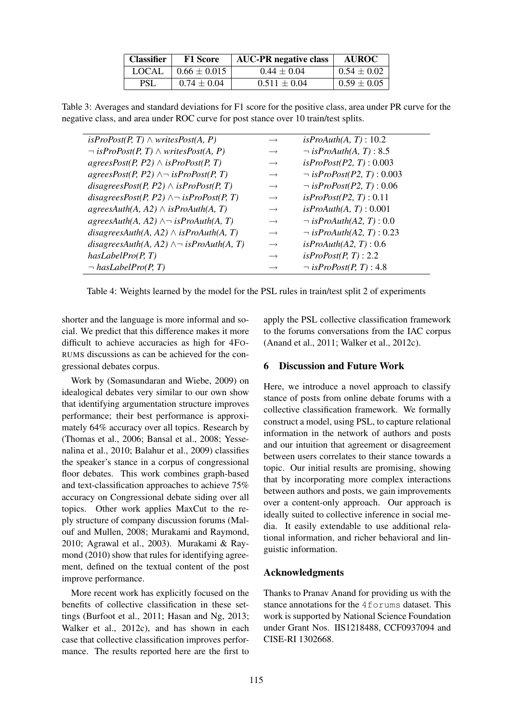| <b>Classifier</b> | <b>F1 Score</b>  | <b>AUC-PR</b> negative class | <b>AUROC</b>    |
|-------------------|------------------|------------------------------|-----------------|
| <b>LOCAL</b>      | $0.66 \pm 0.015$ | $0.44 \pm 0.04$              | $0.54 \pm 0.02$ |
| <b>PSL</b>        | $0.74 \pm 0.04$  | $0.511 \pm 0.04$             | $0.59 \pm 0.05$ |

Table 3: Averages and standard deviations for F1 score for the positive class, area under PR curve for the negative class, and area under ROC curve for post stance over 10 train/test splits.

| $isProof(P, T) \wedge writesPost(A, P)$                                    | $\rightarrow$     | isProAuth(A, T): 10.2            |
|----------------------------------------------------------------------------|-------------------|----------------------------------|
| $\neg$ isProPost(P, T) $\land$ writesPost(A, P)                            | $\rightarrow$     | $\neg$ isProAuth(A, T) : 8.5     |
| agreesPost(P, P2) $\land$ isProPost(P, T)                                  | $\longrightarrow$ | isProof( P2, T): 0.003           |
| agreesPost(P, P2) $\wedge \neg$ isProPost(P, T)                            | $\longrightarrow$ | $\neg$ is ProPost(P2, T) : 0.003 |
| disagreesPost(P, P2) $\land$ isProPost(P, T)                               | $\longrightarrow$ | $\lnot$ is ProPost(P2, T) : 0.06 |
| disagreesPost(P, P2) $\land \neg$ isProPost(P, T)                          | $\longrightarrow$ | isProof( P2, T): 0.11            |
| $agreesAuth(A, A2) \wedge isProAuth(A, T)$                                 | $\longrightarrow$ | is <i>ProAuth(A, T)</i> : 0.001  |
| agreesAuth(A, A2) $\wedge \neg$ isProAuth(A, T)                            | $\longrightarrow$ | $\lnot$ is ProAuth(A2, T) : 0.0  |
| disagreesAuth(A, A2) $\wedge$ isProAuth(A, T)                              | $\longrightarrow$ | $\lnot$ is ProAuth(A2, T) : 0.23 |
| disagrees $\text{Aut}h(A, A2) \wedge \neg \text{ is} \text{ProAut}h(A, T)$ | $\longrightarrow$ | is ProAuth(A2, T): 0.6           |
| hasLabelPro(P, T)                                                          | $\longrightarrow$ | isProof(P, T): 2.2               |
| $\neg$ has LabelPro(P, T)                                                  | $\longrightarrow$ | $\neg$ is ProPost(P, T) : 4.8    |

Table 4: Weights learned by the model for the PSL rules in train/test split 2 of experiments

shorter and the language is more informal and social. We predict that this difference makes it more difficult to achieve accuracies as high for 4FO-RUMS discussions as can be achieved for the congressional debates corpus.

Work by (Somasundaran and Wiebe, 2009) on idealogical debates very similar to our own show that identifying argumentation structure improves performance; their best performance is approximately 64% accuracy over all topics. Research by (Thomas et al., 2006; Bansal et al., 2008; Yessenalina et al., 2010; Balahur et al., 2009) classifies the speaker's stance in a corpus of congressional floor debates. This work combines graph-based and text-classification approaches to achieve 75% accuracy on Congressional debate siding over all topics. Other work applies MaxCut to the reply structure of company discussion forums (Malouf and Mullen, 2008; Murakami and Raymond, 2010; Agrawal et al., 2003). Murakami & Raymond (2010) show that rules for identifying agreement, defined on the textual content of the post improve performance.

More recent work has explicitly focused on the benefits of collective classification in these settings (Burfoot et al., 2011; Hasan and Ng, 2013; Walker et al., 2012c), and has shown in each case that collective classification improves performance. The results reported here are the first to

apply the PSL collective classification framework to the forums conversations from the IAC corpus (Anand et al., 2011; Walker et al., 2012c).

## 6 Discussion and Future Work

Here, we introduce a novel approach to classify stance of posts from online debate forums with a collective classification framework. We formally construct a model, using PSL, to capture relational information in the network of authors and posts and our intuition that agreement or disagreement between users correlates to their stance towards a topic. Our initial results are promising, showing that by incorporating more complex interactions between authors and posts, we gain improvements over a content-only approach. Our approach is ideally suited to collective inference in social media. It easily extendable to use additional relational information, and richer behavioral and linguistic information.

## Acknowledgments

Thanks to Pranav Anand for providing us with the stance annotations for the 4forums dataset. This work is supported by National Science Foundation under Grant Nos. IIS1218488, CCF0937094 and CISE-RI 1302668.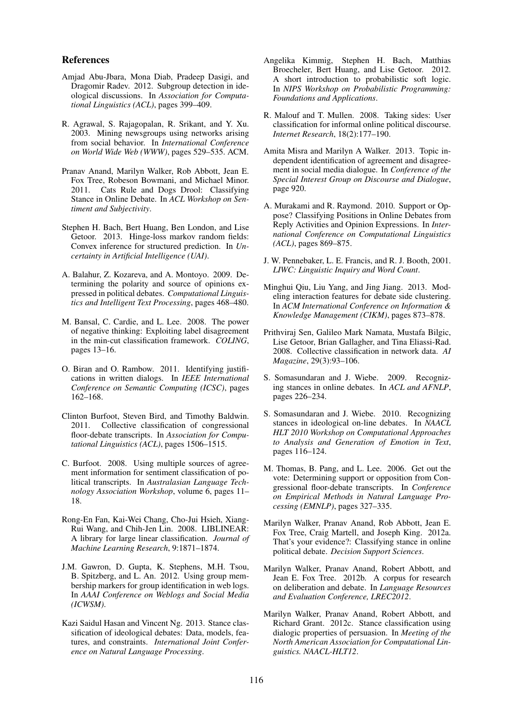#### References

- Amjad Abu-Jbara, Mona Diab, Pradeep Dasigi, and Dragomir Radev. 2012. Subgroup detection in ideological discussions. In *Association for Computational Linguistics (ACL)*, pages 399–409.
- R. Agrawal, S. Rajagopalan, R. Srikant, and Y. Xu. 2003. Mining newsgroups using networks arising from social behavior. In *International Conference on World Wide Web (WWW)*, pages 529–535. ACM.
- Pranav Anand, Marilyn Walker, Rob Abbott, Jean E. Fox Tree, Robeson Bowmani, and Michael Minor. 2011. Cats Rule and Dogs Drool: Classifying Stance in Online Debate. In *ACL Workshop on Sentiment and Subjectivity*.
- Stephen H. Bach, Bert Huang, Ben London, and Lise Getoor. 2013. Hinge-loss markov random fields: Convex inference for structured prediction. In *Uncertainty in Artificial Intelligence (UAI)*.
- A. Balahur, Z. Kozareva, and A. Montoyo. 2009. Determining the polarity and source of opinions expressed in political debates. *Computational Linguistics and Intelligent Text Processing*, pages 468–480.
- M. Bansal, C. Cardie, and L. Lee. 2008. The power of negative thinking: Exploiting label disagreement in the min-cut classification framework. *COLING*, pages 13–16.
- O. Biran and O. Rambow. 2011. Identifying justifications in written dialogs. In *IEEE International Conference on Semantic Computing (ICSC)*, pages 162–168.
- Clinton Burfoot, Steven Bird, and Timothy Baldwin. 2011. Collective classification of congressional floor-debate transcripts. In *Association for Computational Linguistics (ACL)*, pages 1506–1515.
- C. Burfoot. 2008. Using multiple sources of agreement information for sentiment classification of political transcripts. In *Australasian Language Technology Association Workshop*, volume 6, pages 11– 18.
- Rong-En Fan, Kai-Wei Chang, Cho-Jui Hsieh, Xiang-Rui Wang, and Chih-Jen Lin. 2008. LIBLINEAR: A library for large linear classification. *Journal of Machine Learning Research*, 9:1871–1874.
- J.M. Gawron, D. Gupta, K. Stephens, M.H. Tsou, B. Spitzberg, and L. An. 2012. Using group membership markers for group identification in web logs. In *AAAI Conference on Weblogs and Social Media (ICWSM)*.
- Kazi Saidul Hasan and Vincent Ng. 2013. Stance classification of ideological debates: Data, models, features, and constraints. *International Joint Conference on Natural Language Processing*.
- Angelika Kimmig, Stephen H. Bach, Matthias Broecheler, Bert Huang, and Lise Getoor. 2012. A short introduction to probabilistic soft logic. In *NIPS Workshop on Probabilistic Programming: Foundations and Applications*.
- R. Malouf and T. Mullen. 2008. Taking sides: User classification for informal online political discourse. *Internet Research*, 18(2):177–190.
- Amita Misra and Marilyn A Walker. 2013. Topic independent identification of agreement and disagreement in social media dialogue. In *Conference of the Special Interest Group on Discourse and Dialogue*, page 920.
- A. Murakami and R. Raymond. 2010. Support or Oppose? Classifying Positions in Online Debates from Reply Activities and Opinion Expressions. In *International Conference on Computational Linguistics (ACL)*, pages 869–875.
- J. W. Pennebaker, L. E. Francis, and R. J. Booth, 2001. *LIWC: Linguistic Inquiry and Word Count*.
- Minghui Qiu, Liu Yang, and Jing Jiang. 2013. Modeling interaction features for debate side clustering. In *ACM International Conference on Information & Knowledge Management (CIKM)*, pages 873–878.
- Prithviraj Sen, Galileo Mark Namata, Mustafa Bilgic, Lise Getoor, Brian Gallagher, and Tina Eliassi-Rad. 2008. Collective classification in network data. *AI Magazine*, 29(3):93–106.
- S. Somasundaran and J. Wiebe. 2009. Recognizing stances in online debates. In *ACL and AFNLP*, pages 226–234.
- S. Somasundaran and J. Wiebe. 2010. Recognizing stances in ideological on-line debates. In *NAACL HLT 2010 Workshop on Computational Approaches to Analysis and Generation of Emotion in Text*, pages 116–124.
- M. Thomas, B. Pang, and L. Lee. 2006. Get out the vote: Determining support or opposition from Congressional floor-debate transcripts. In *Conference on Empirical Methods in Natural Language Processing (EMNLP)*, pages 327–335.
- Marilyn Walker, Pranav Anand, Rob Abbott, Jean E. Fox Tree, Craig Martell, and Joseph King. 2012a. That's your evidence?: Classifying stance in online political debate. *Decision Support Sciences*.
- Marilyn Walker, Pranav Anand, Robert Abbott, and Jean E. Fox Tree. 2012b. A corpus for research on deliberation and debate. In *Language Resources and Evaluation Conference, LREC2012*.
- Marilyn Walker, Pranav Anand, Robert Abbott, and Richard Grant. 2012c. Stance classification using dialogic properties of persuasion. In *Meeting of the North American Association for Computational Linguistics. NAACL-HLT12*.